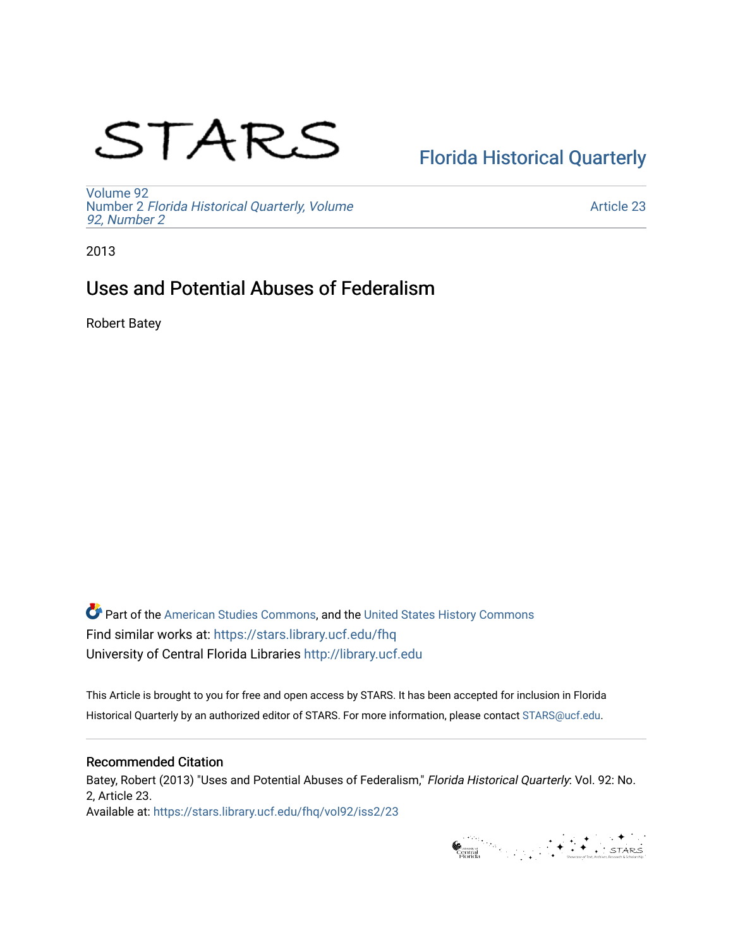# STARS

# [Florida Historical Quarterly](https://stars.library.ucf.edu/fhq)

[Volume 92](https://stars.library.ucf.edu/fhq/vol92) Number 2 [Florida Historical Quarterly, Volume](https://stars.library.ucf.edu/fhq/vol92/iss2)  [92, Number 2](https://stars.library.ucf.edu/fhq/vol92/iss2)

[Article 23](https://stars.library.ucf.edu/fhq/vol92/iss2/23) 

2013

# Uses and Potential Abuses of Federalism

Robert Batey

**C** Part of the [American Studies Commons](http://network.bepress.com/hgg/discipline/439?utm_source=stars.library.ucf.edu%2Ffhq%2Fvol92%2Fiss2%2F23&utm_medium=PDF&utm_campaign=PDFCoverPages), and the United States History Commons Find similar works at: <https://stars.library.ucf.edu/fhq> University of Central Florida Libraries [http://library.ucf.edu](http://library.ucf.edu/) 

This Article is brought to you for free and open access by STARS. It has been accepted for inclusion in Florida Historical Quarterly by an authorized editor of STARS. For more information, please contact [STARS@ucf.edu.](mailto:STARS@ucf.edu)

## Recommended Citation

Batey, Robert (2013) "Uses and Potential Abuses of Federalism," Florida Historical Quarterly: Vol. 92: No. 2, Article 23. Available at: [https://stars.library.ucf.edu/fhq/vol92/iss2/23](https://stars.library.ucf.edu/fhq/vol92/iss2/23?utm_source=stars.library.ucf.edu%2Ffhq%2Fvol92%2Fiss2%2F23&utm_medium=PDF&utm_campaign=PDFCoverPages)

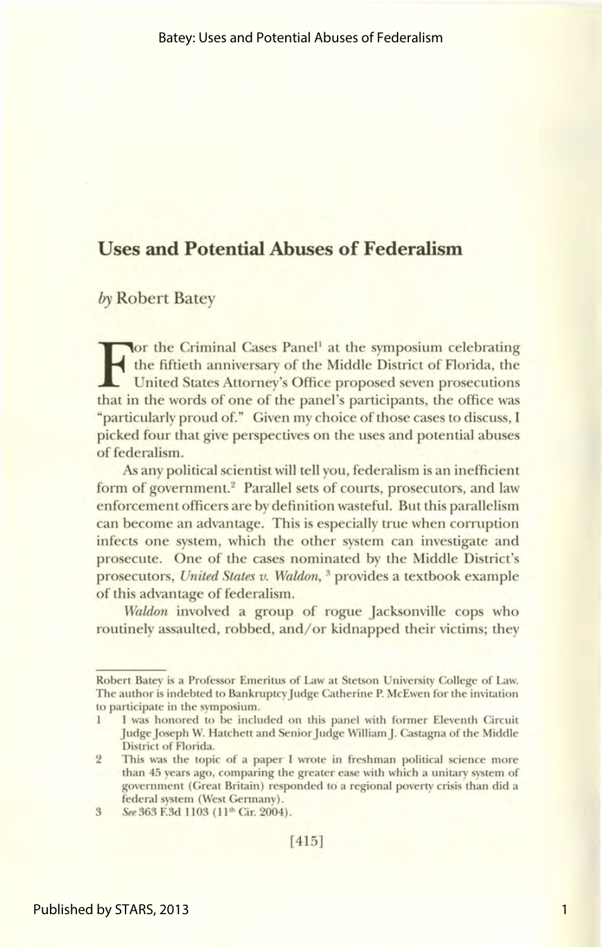## **Uses and Potential Abuses of Federalism**

by Robert Batey

For the Criminal Cases Panel<sup>1</sup> at the symposium celebrating<br>the fiftieth anniversary of the Middle District of Florida, the<br>United States Attorney's Office proposed seven prosecutions<br>that in the words of one of the panel the fiftieth anniversary of the Middle District of Florida, the United States Attorney's Office proposed seven prosecutions that in the words of one of the panel's participants, the office was "particularly proud of." Given my choice of those cases to discuss, I picked four that give perspectives on the uses and potential abuses of federalism.

As any political scientist will tell you, federalism is an inefficient form of government.<sup>2</sup> Parallel sets of courts, prosecutors, and law enforcement officers are by definition wasteful. But this parallelism can become an advantage. This is especially true when corruption infects one system, which the other system can investigate and prosecute. One of the cases nominated by the Middle District's prosecutors, *United States v. Waldon,* 3 provides a textbook example of this advantage of federalism.

*Waldon* involved a group of rogue Jacksonville cops who routinely assaulted, robbed, and/or kidnapped their victims; they

Robert Batey is a Professor Emeritus of Law at Stetson University College of Law. The author is indebted to Bankruptcy Judge Catherine P. McEwen for the invitation to participate in the symposium.

<sup>1</sup> I was honored to be included on this panel with former Eleventh Circuit Judge Joseph W. Hatchett and Senior Judge William]. Castagna of the Middle District of Florida.

<sup>2</sup> This was the topic of a paper I wrote in freshman political science more than 45 years ago, comparing the greater ease with which a unitary system of government (Great Britain) responded to a regional poverty crisis than did a federal system (West Germany).

<sup>3</sup> See363 F.3d 1103 (ll'h Cir. 2004).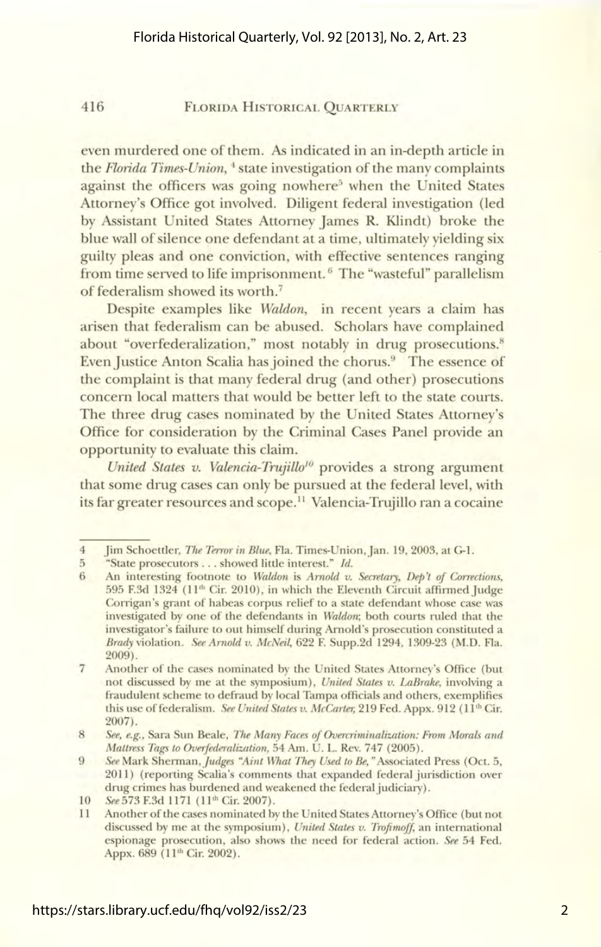#### 416 FLORIDA HISTORICAL QUARTERLY

even murdered one of them. *As* indicated in an in-depth article in the *Florida Times-Union,* 4 state investigation of the many complaints against the officers was going nowhere<sup>5</sup> when the United States Attorney's Office got involved. Diligent federal investigation (led by Assistant United States Attorney James R. Klindt) broke the blue wall of silence one defendant at a time, ultimately yielding six guilty pleas and one conviction, with effective sentences ranging from time served to life imprisonment.<sup>6</sup> The "wasteful" parallelism of federalism showed its worth. <sup>7</sup>

Despite examples like *Waldon,* in recent years a claim has arisen that federalism can be abused. Scholars have complained about "overfederalization," most notably in drug prosecutions.<sup>8</sup> Even Justice Anton Scalia has joined the chorus.<sup>9</sup> The essence of the complaint is that many federal drug (and other) prosecutions concern local matters that would be better left to the state courts. The three drug cases nominated by the United States Attorney's Office for consideration by the Criminal Cases Panel provide an opportunity to evaluate this claim.

United States v. Valencia-Trujillo<sup>10</sup> provides a strong argument that some drug cases can only be pursued at the federal level, with its far greater resources and scope.<sup>11</sup> Valencia-Trujillo ran a cocaine

<sup>4</sup> Jim Schoettler, *The Terror in Blue*, Fla. Times-Union, Jan. 19, 2003, at G-1.<br>5 "State prosecutors.... showed little interest." *Id.* 

<sup>5 &</sup>quot;State prosecutors ... showed little interest." *Id.* 

<sup>6</sup> An interesting footnote to *Waldon* is *Arnold v. Secretary, Dep't of Corrections,*  595 F.3d 1324 (ll'h Cir. 2010), in which the Eleventh Circuit affirmed Judge Corrigan's grant of habeas corpus relief to a state defendant whose case was investigated by one of the defendants in *Waldon;* both courts ruled that the investigator's failure to out himself during Arnold's prosecution constituted a *Brady* violation. *See Arnold v. McNeil,* 622 F. Supp.2d 1294, 1309-23 (M.D. Fla. 2009).

<sup>7</sup> Another of the cases nominated by the United States Attorney's Office (but not discussed by me at the symposium), *United States v. LaBrake,* involving a fraudulent scheme to defraud by local Tampa officials and others, exemplifies this use of federalism. *See United States v. McCarter*, 219 Fed. Appx. 912 (11<sup>th</sup> Cir. 2007).

<sup>8</sup> *See, e.g.,* Sara Sun Beale, *The Many Faces of Overcriminalization: From Morals and Mattress Tags to Overfederalization,* 54 Am. U. L. Rev. 747 (2005).

<sup>9</sup> *See* Mark *Sherman.judges ''Aint What They Used to Be,"* Associated Press (Oct. 5, 2011) (reporting Scalia's comments that expanded federal jurisdiction over drug crimes has burdened and weakened the federal judiciary).

<sup>10</sup> *See* 573 F.3d 1171 (11<sup>th</sup> Cir. 2007).

<sup>11</sup> Another of the cases nominated by the United States Attorney's Office (but not discussed by me at the symposium), *United States v. Trofimoff,* an international espionage prosecution, also shows the need for federal action. *See* 54 Fed. Appx. 689 (11<sup>th</sup> Cir. 2002).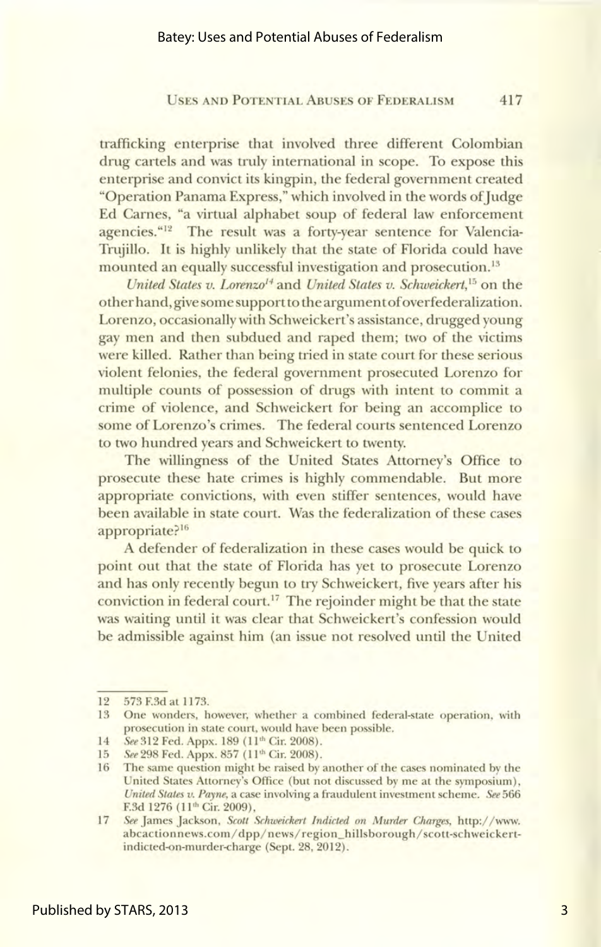#### USES AND POTENTIAL ABUSES OF FEDERALISM 417

trafficking enterprise that involved three different Colombian drug cartels and was truly international in scope. To expose this enterprise and convict its kingpin, the federal government created "Operation Panama Express," which involved in the words of Judge Ed Carnes, "a virtual alphabet soup of federal law enforcement agencies."<sup>12</sup> The result was a forty-year sentence for Valencia-Trujillo. It is highly unlikely that the state of Florida could have mounted an equally successful investigation and prosecution. <sup>13</sup>

*United States v. Lorenzo14* and *United States v. Schweickert,* 15 on the other hand, give some support to the argument of overfederalization. Lorenzo, occasionally with Schweickert's assistance, drugged young gay men and then subdued and raped them; two of the victims were killed. Rather than being tried in state court for these serious violent felonies, the federal government prosecuted Lorenzo for multiple counts of possession of drugs with intent to commit a crime of violence, and Schweickert for being an accomplice to some of Lorenzo's crimes. The federal courts sentenced Lorenzo to two hundred years and Schweickert to twenty.

The willingness of the United States Attorney's Office to prosecute these hate crimes is highly commendable. But more appropriate convictions, with even stiffer sentences, would have been available in state court. Was the federalization of these cases appropriate?<sup>16</sup>

A defender of federalization in these cases would be quick to point out that the state of Florida has yet to prosecute Lorenzo and has only recently begun to try Schweickert, five years after his conviction in federal court.<sup>17</sup> The rejoinder might be that the state was waiting until it was clear that Schweickert's confession would be admissible against him (an issue not resolved until the United

<sup>12 573</sup> F.3d at 1173.

<sup>13</sup> One wonders, however, whether a combined federal-state operation, with prosecution in state court, would have been possible.

<sup>14</sup> See 312 Fed. Appx. 189 (ll'h Cir. 2008).

<sup>15</sup> *See* 298 Fed. Appx. 857 (11<sup>th</sup> Cir. 2008).

<sup>16</sup> The same question might be raised by another of the cases nominated by the United States Attorney's Office (but not discussed by me at the symposium), *United States v. Payne,* a case involving a fraudulent investment scheme. *See* 566 F.3d 1276 (11<sup>th</sup> Cir. 2009),

<sup>17</sup>*See* James Jackson, *Scott Schweickert Indicted on Murder Charges,* http:/ / www. abcactionnews.com/ dpp/ news/ region\_hillsborough/ scott-schweickertindicted-on-murder-charge (Sept. 28, 2012).